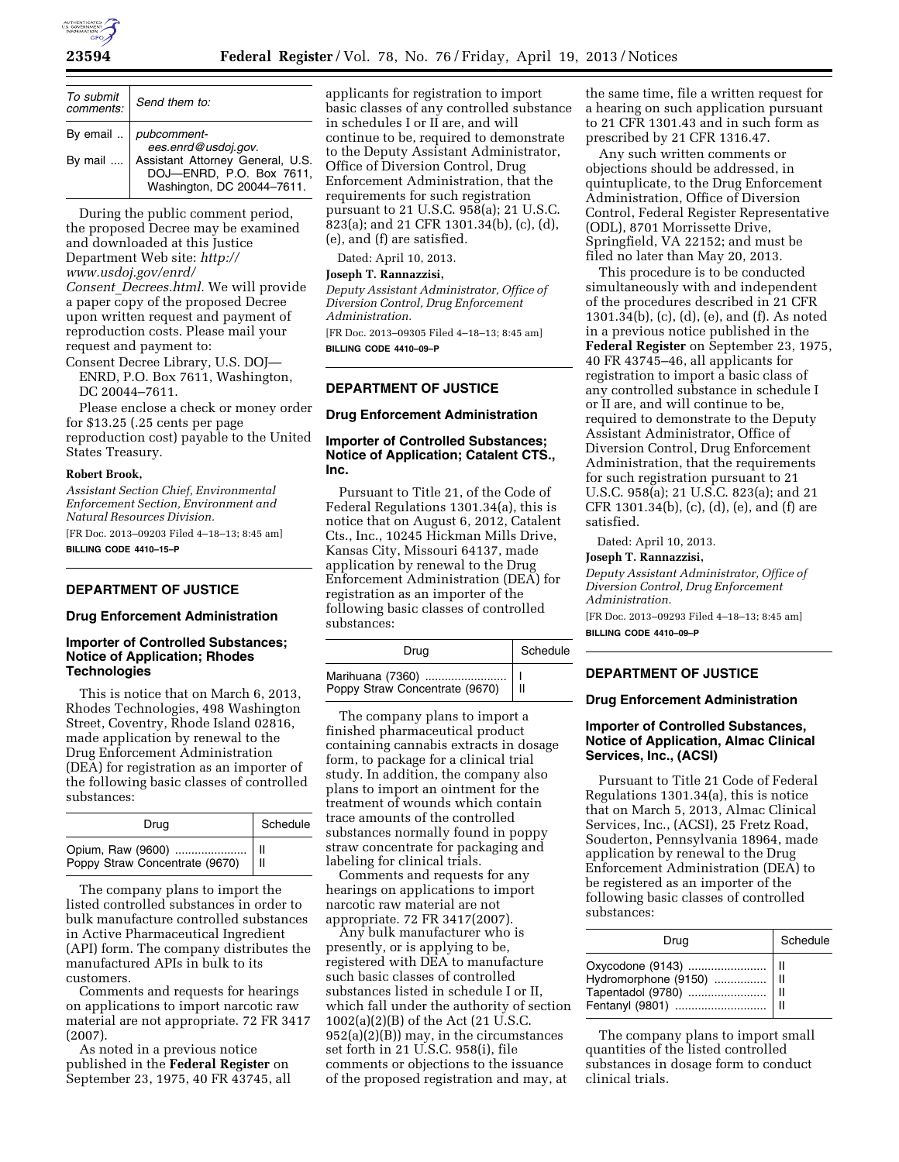

| To submit<br>comments: | Send them to:                                                                              |
|------------------------|--------------------------------------------------------------------------------------------|
|                        | By email $\therefore$ pubcomment-<br>ees.enrd@usdoj.gov.                                   |
| By mail $\dots$        | Assistant Attorney General, U.S.<br>DOJ-ENRD, P.O. Box 7611,<br>Washington, DC 20044-7611. |

During the public comment period, the proposed Decree may be examined and downloaded at this Justice Department Web site: *[http://](http://www.usdoj.gov/enrd/Consent_Decrees.html)  [www.usdoj.gov/enrd/](http://www.usdoj.gov/enrd/Consent_Decrees.html) Consent*\_*[Decrees.html.](http://www.usdoj.gov/enrd/Consent_Decrees.html)* We will provide

a paper copy of the proposed Decree upon written request and payment of reproduction costs. Please mail your request and payment to:

Consent Decree Library, U.S. DOJ— ENRD, P.O. Box 7611, Washington, DC 20044–7611.

Please enclose a check or money order for \$13.25 (.25 cents per page reproduction cost) payable to the United States Treasury.

#### **Robert Brook,**

*Assistant Section Chief, Environmental Enforcement Section, Environment and Natural Resources Division.* 

[FR Doc. 2013–09203 Filed 4–18–13; 8:45 am] **BILLING CODE 4410–15–P** 

# **DEPARTMENT OF JUSTICE**

#### **Drug Enforcement Administration**

# **Importer of Controlled Substances; Notice of Application; Rhodes Technologies**

This is notice that on March 6, 2013, Rhodes Technologies, 498 Washington Street, Coventry, Rhode Island 02816, made application by renewal to the Drug Enforcement Administration (DEA) for registration as an importer of the following basic classes of controlled substances:

| Drug | Schedule |
|------|----------|
|      |          |

The company plans to import the listed controlled substances in order to bulk manufacture controlled substances in Active Pharmaceutical Ingredient (API) form. The company distributes the manufactured APIs in bulk to its customers.

Comments and requests for hearings on applications to import narcotic raw material are not appropriate. 72 FR 3417 (2007).

As noted in a previous notice published in the **Federal Register** on September 23, 1975, 40 FR 43745, all

applicants for registration to import basic classes of any controlled substance in schedules I or II are, and will continue to be, required to demonstrate to the Deputy Assistant Administrator, Office of Diversion Control, Drug Enforcement Administration, that the requirements for such registration pursuant to 21 U.S.C. 958(a); 21 U.S.C. 823(a); and 21 CFR 1301.34(b), (c), (d), (e), and (f) are satisfied.

Dated: April 10, 2013.

# **Joseph T. Rannazzisi,**

*Deputy Assistant Administrator, Office of Diversion Control, Drug Enforcement Administration.* 

[FR Doc. 2013–09305 Filed 4–18–13; 8:45 am] **BILLING CODE 4410–09–P** 

# **DEPARTMENT OF JUSTICE**

#### **Drug Enforcement Administration**

### **Importer of Controlled Substances; Notice of Application; Catalent CTS., Inc.**

Pursuant to Title 21, of the Code of Federal Regulations 1301.34(a), this is notice that on August 6, 2012, Catalent Cts., Inc., 10245 Hickman Mills Drive, Kansas City, Missouri 64137, made application by renewal to the Drug Enforcement Administration (DEA) for registration as an importer of the following basic classes of controlled substances:

| Drug                                               | Schedule |
|----------------------------------------------------|----------|
| Marihuana (7360)<br>Poppy Straw Concentrate (9670) |          |

The company plans to import a finished pharmaceutical product containing cannabis extracts in dosage form, to package for a clinical trial study. In addition, the company also plans to import an ointment for the treatment of wounds which contain trace amounts of the controlled substances normally found in poppy straw concentrate for packaging and labeling for clinical trials.

Comments and requests for any hearings on applications to import narcotic raw material are not appropriate. 72 FR 3417(2007).

Any bulk manufacturer who is presently, or is applying to be, registered with DEA to manufacture such basic classes of controlled substances listed in schedule I or II, which fall under the authority of section 1002(a)(2)(B) of the Act (21 U.S.C. 952(a)(2)(B)) may, in the circumstances set forth in 21 U.S.C. 958(i), file comments or objections to the issuance of the proposed registration and may, at

the same time, file a written request for a hearing on such application pursuant to 21 CFR 1301.43 and in such form as prescribed by 21 CFR 1316.47.

Any such written comments or objections should be addressed, in quintuplicate, to the Drug Enforcement Administration, Office of Diversion Control, Federal Register Representative (ODL), 8701 Morrissette Drive, Springfield, VA 22152; and must be filed no later than May 20, 2013.

This procedure is to be conducted simultaneously with and independent of the procedures described in 21 CFR 1301.34(b), (c), (d), (e), and (f). As noted in a previous notice published in the **Federal Register** on September 23, 1975, 40 FR 43745–46, all applicants for registration to import a basic class of any controlled substance in schedule I or II are, and will continue to be, required to demonstrate to the Deputy Assistant Administrator, Office of Diversion Control, Drug Enforcement Administration, that the requirements for such registration pursuant to 21 U.S.C. 958(a); 21 U.S.C. 823(a); and 21 CFR 1301.34(b), (c), (d), (e), and (f) are satisfied.

Dated: April 10, 2013.

### **Joseph T. Rannazzisi,**

*Deputy Assistant Administrator, Office of Diversion Control, Drug Enforcement Administration.* 

[FR Doc. 2013–09293 Filed 4–18–13; 8:45 am] **BILLING CODE 4410–09–P** 

#### **DEPARTMENT OF JUSTICE**

### **Drug Enforcement Administration**

# **Importer of Controlled Substances, Notice of Application, Almac Clinical Services, Inc., (ACSI)**

Pursuant to Title 21 Code of Federal Regulations 1301.34(a), this is notice that on March 5, 2013, Almac Clinical Services, Inc., (ACSI), 25 Fretz Road, Souderton, Pennsylvania 18964, made application by renewal to the Drug Enforcement Administration (DEA) to be registered as an importer of the following basic classes of controlled substances:

| Drug                                             | Schedule |
|--------------------------------------------------|----------|
| Tapentadol (9780)    II<br>Fentanyl (9801)    II |          |

The company plans to import small quantities of the listed controlled substances in dosage form to conduct clinical trials.